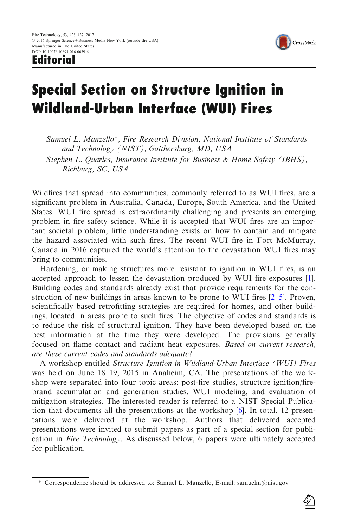Editorial



## Special Section on Structure Ignition in Wildland-Urban Interface (WUI) Fires

Samuel L. Manzello\*, Fire Research Division, National Institute of Standards and Technology (NIST), Gaithersburg, MD, USA Stephen L. Quarles, Insurance Institute for Business & Home Safety (IBHS),

Richburg, SC, USA

Wildfires that spread into communities, commonly referred to as WUI fires, are a significant problem in Australia, Canada, Europe, South America, and the United States. WUI fire spread is extraordinarily challenging and presents an emerging problem in fire safety science. While it is accepted that WUI fires are an important societal problem, little understanding exists on how to contain and mitigate the hazard associated with such fires. The recent WUI fire in Fort McMurray, Canada in 2016 captured the world's attention to the devastation WUI fires may bring to communities.

Hardening, or making structures more resistant to ignition in WUI fires, is an accepted approach to lessen the devastation produced by WUI fire exposures [[1\]](#page-2-0). Building codes and standards already exist that provide requirements for the construction of new buildings in areas known to be prone to WUI fires [\[2–5](#page-2-0)]. Proven, scientifically based retrofitting strategies are required for homes, and other buildings, located in areas prone to such fires. The objective of codes and standards is to reduce the risk of structural ignition. They have been developed based on the best information at the time they were developed. The provisions generally focused on flame contact and radiant heat exposures. Based on current research, are these current codes and standards adequate?

A workshop entitled Structure Ignition in Wildland-Urban Interface (WUI) Fires was held on June 18–19, 2015 in Anaheim, CA. The presentations of the workshop were separated into four topic areas: post-fire studies, structure ignition/firebrand accumulation and generation studies, WUI modeling, and evaluation of mitigation strategies. The interested reader is referred to a NIST Special Publication that documents all the presentations at the workshop [\[6](#page-2-0)]. In total, 12 presentations were delivered at the workshop. Authors that delivered accepted presentations were invited to submit papers as part of a special section for publication in Fire Technology. As discussed below, 6 papers were ultimately accepted for publication.

<sup>\*</sup> Correspondence should be addressed to: Samuel L. Manzello, E-mail: samuelm@nist.gov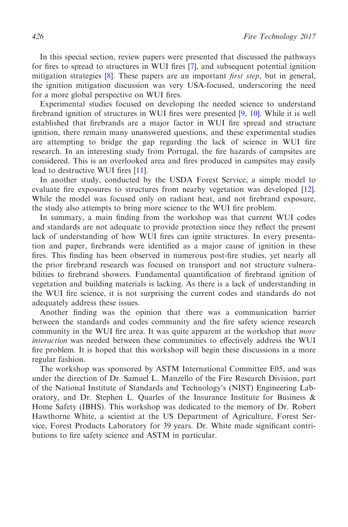In this special section, review papers were presented that discussed the pathways for fires to spread to structures in WUI fires [\[7](#page-2-0)], and subsequent potential ignition mitigation strategies [\[8](#page-2-0)]. These papers are an important first step, but in general, the ignition mitigation discussion was very USA-focused, underscoring the need for a more global perspective on WUI fires.

Experimental studies focused on developing the needed science to understand firebrand ignition of structures in WUI fires were presented [\[9](#page-2-0), [10](#page-2-0)]. While it is well established that firebrands are a major factor in WUI fire spread and structure ignition, there remain many unanswered questions, and these experimental studies are attempting to bridge the gap regarding the lack of science in WUI fire research. In an interesting study from Portugal, the fire hazards of campsites are considered. This is an overlooked area and fires produced in campsites may easily lead to destructive WUI fires [[11\]](#page-2-0).

In another study, conducted by the USDA Forest Service, a simple model to evaluate fire exposures to structures from nearby vegetation was developed [[12\]](#page-2-0). While the model was focused only on radiant heat, and not firebrand exposure, the study also attempts to bring more science to the WUI fire problem.

In summary, a main finding from the workshop was that current WUI codes and standards are not adequate to provide protection since they reflect the present lack of understanding of how WUI fires can ignite structures. In every presentation and paper, firebrands were identified as a major cause of ignition in these fires. This finding has been observed in numerous post-fire studies, yet nearly all the prior firebrand research was focused on transport and not structure vulnerabilities to firebrand showers. Fundamental quantification of firebrand ignition of vegetation and building materials is lacking. As there is a lack of understanding in the WUI fire science, it is not surprising the current codes and standards do not adequately address these issues.

Another finding was the opinion that there was a communication barrier between the standards and codes community and the fire safety science research community in the WUI fire area. It was quite apparent at the workshop that *more* interaction was needed between these communities to effectively address the WUI fire problem. It is hoped that this workshop will begin these discussions in a more regular fashion.

The workshop was sponsored by ASTM International Committee E05, and was under the direction of Dr. Samuel L. Manzello of the Fire Research Division, part of the National Institute of Standards and Technology's (NIST) Engineering Laboratory, and Dr. Stephen L. Quarles of the Insurance Institute for Business  $\&$ Home Safety (IBHS). This workshop was dedicated to the memory of Dr. Robert Hawthorne White, a scientist at the US Department of Agriculture, Forest Service, Forest Products Laboratory for 39 years. Dr. White made significant contributions to fire safety science and ASTM in particular.